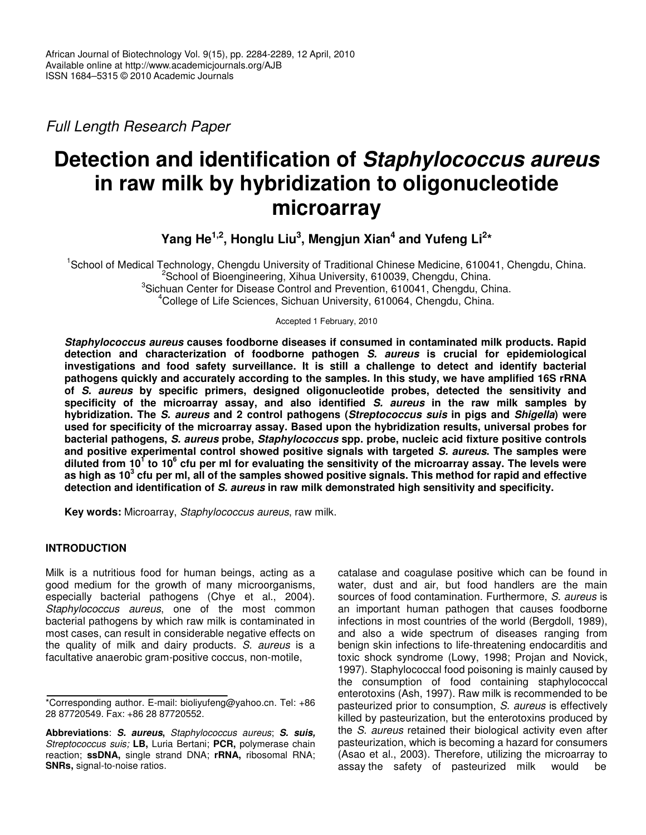*Full Length Research Paper*

# **Detection and identification of** *Staphylococcus aureus* **in raw milk by hybridization to oligonucleotide microarray**

**Yang He 1,2 , Honglu Liu 3 , Mengjun Xian 4 and Yufeng Li 2 \***

<sup>1</sup>School of Medical Technology, Chengdu University of Traditional Chinese Medicine, 610041, Chengdu, China. <sup>2</sup>School of Bioengineering, Xihua University, 610039, Chengdu, China. <sup>3</sup>Sichuan Center for Disease Control and Prevention, 610041, Chengdu, China. <sup>4</sup>College of Life Sciences, Sichuan University, 610064, Chengdu, China.

Accepted 1 February, 2010

*Staphylococcus aureus* **causes foodborne diseases if consumed in contaminated milk products. Rapid detection and characterization of foodborne pathogen** *S. aureus* **is crucial for epidemiological investigations and food safety surveillance. It is still a challenge to detect and identify bacterial pathogens quickly and accurately according to the samples. In this study, we have amplified 16S rRNA of** *S. aureus* **by specific primers, designed oligonucleotide probes, detected the sensitivity and specificity of the microarray assay, and also identified** *S. aureus* **in the raw milk samples by hybridization. The** *S. aureus* **and 2 control pathogens (***Streptococcus suis* **in pigs and** *Shigella***) were used for specificity of the microarray assay. Based upon the hybridization results, universal probes for bacterial pathogens,** *S. aureus* **probe,** *Staphylococcus* **spp. probe, nucleic acid fixture positive controls and positive experimental control showed positive signals with targeted** *S. aureus***. The samples were** diluted from 10<sup>1</sup> to 10<sup>6</sup> cfu per mI for evaluating the sensitivity of the microarray assay. The levels were as high as 10 $^3$  cfu per ml, all of the samples showed positive signals. This method for rapid and effective **detection and identification of** *S. aureus* **in raw milk demonstrated high sensitivity and specificity.**

**Key words:** Microarray, *Staphylococcus aureus*, raw milk.

## **INTRODUCTION**

Milk is a nutritious food for human beings, acting as a good medium for the growth of many microorganisms, especially bacterial pathogens (Chye et al., 2004). *Staphylococcus aureus*, one of the most common bacterial pathogens by which raw milk is contaminated in most cases, can result in considerable negative effects on the quality of milk and dairy products. *S. aureus* is a facultative anaerobic gram-positive coccus, non-motile,

catalase and coagulase positive which can be found in water, dust and air, but food handlers are the main sources of food contamination. Furthermore, *S. aureus* is an important human pathogen that causes foodborne infections in most countries of the world (Bergdoll, 1989), and also a wide spectrum of diseases ranging from benign skin infections to life-threatening endocarditis and toxic shock syndrome (Lowy, 1998; Projan and Novick, 1997). Staphylococcal food poisoning is mainly caused by the consumption of food containing staphylococcal enterotoxins (Ash, 1997). Raw milk is recommended to be pasteurized prior to consumption, *S. aureus* is effectively killed by pasteurization, but the enterotoxins produced by the *S. aureus* retained their biological activity even after pasteurization, which is becoming a hazard for consumers (Asao et al., 2003). Therefore, utilizing the microarray to assay the safety of pasteurized milk would be

<sup>\*</sup>Corresponding author. E-mail: bioliyufeng@yahoo.cn. Tel: +86 28 87720549. Fax: +86 28 87720552.

**Abbreviations**: *S. aureus***,** *Staphylococcus aureus*; *S. suis, Streptococcus suis;* **LB,** Luria Bertani; **PCR,** polymerase chain reaction; **ssDNA,** single strand DNA; **rRNA,** ribosomal RNA; **SNRs,** signal-to-noise ratios.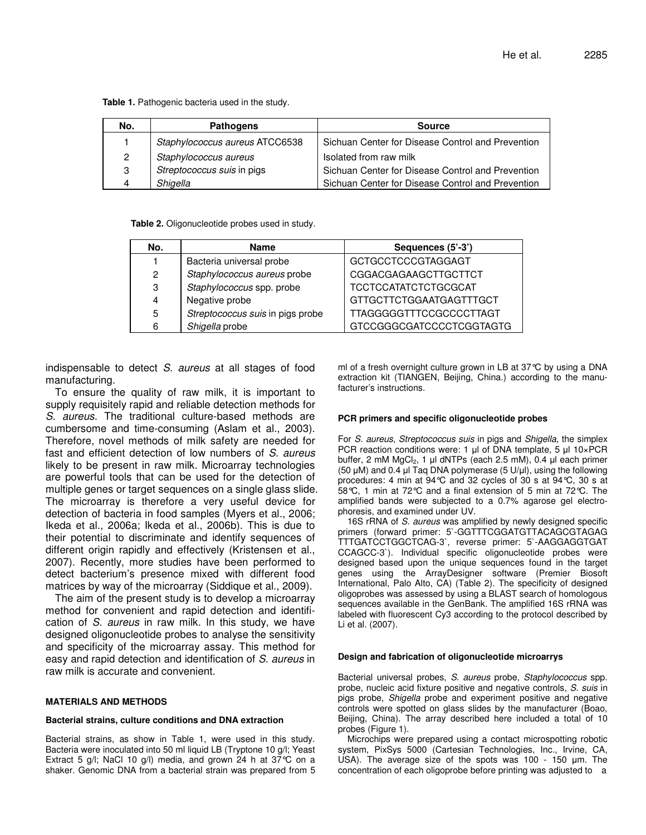**Table 1.** Pathogenic bacteria used in the study.

| No.            | <b>Pathogens</b>               | <b>Source</b>                                     |  |  |
|----------------|--------------------------------|---------------------------------------------------|--|--|
|                | Staphylococcus aureus ATCC6538 | Sichuan Center for Disease Control and Prevention |  |  |
| $\overline{2}$ | Staphylococcus aureus          | Isolated from raw milk                            |  |  |
| 3              | Streptococcus suis in pigs     | Sichuan Center for Disease Control and Prevention |  |  |
| 4              | Shigella                       | Sichuan Center for Disease Control and Prevention |  |  |

**Table 2.** Oligonucleotide probes used in study.

| No. | <b>Name</b>                      | Sequences (5'-3')              |  |  |
|-----|----------------------------------|--------------------------------|--|--|
|     | Bacteria universal probe         | <b>GCTGCCTCCCGTAGGAGT</b>      |  |  |
| 2   | Staphylococcus aureus probe      | CGGACGAGAAGCTTGCTTCT           |  |  |
| 3   | Staphylococcus spp. probe        | <b>TCCTCCATATCTCTGCGCAT</b>    |  |  |
| 4   | Negative probe                   | GTTGCTTCTGGAATGAGTTTGCT        |  |  |
| 5   | Streptococcus suis in pigs probe | <b>TTAGGGGGTTTCCGCCCCTTAGT</b> |  |  |
| 6   | Shigella probe                   | GTCCGGGCGATCCCCTCGGTAGTG       |  |  |

indispensable to detect *S. aureus* at all stages of food manufacturing.

To ensure the quality of raw milk, it is important to supply requisitely rapid and reliable detection methods for *S. aureus*. The traditional culture-based methods are cumbersome and time-consuming (Aslam et al., 2003). Therefore, novel methods of milk safety are needed for fast and efficient detection of low numbers of *S. aureus* likely to be present in raw milk. Microarray technologies are powerful tools that can be used for the detection of multiple genes or target sequences on a single glass slide. The microarray is therefore a very useful device for detection of bacteria in food samples (Myers et al., 2006; Ikeda et al., 2006a; Ikeda et al., 2006b). This is due to their potential to discriminate and identify sequences of different origin rapidly and effectively (Kristensen et al., 2007). Recently, more studies have been performed to detect bacterium's presence mixed with different food matrices by way of the microarray (Siddique et al., 2009).

The aim of the present study is to develop a microarray method for convenient and rapid detection and identification of *S. aureus* in raw milk. In this study, we have designed oligonucleotide probes to analyse the sensitivity and specificity of the microarray assay. This method for easy and rapid detection and identification of *S. aureus* in raw milk is accurate and convenient.

#### **MATERIALS AND METHODS**

#### **Bacterial strains, culture conditions and DNA extraction**

Bacterial strains, as show in Table 1, were used in this study. Bacteria were inoculated into 50 ml liquid LB (Tryptone 10 g/l; Yeast Extract 5 g/l; NaCl 10 g/l) media, and grown 24 h at 37°C on a shaker. Genomic DNA from a bacterial strain was prepared from 5 ml of a fresh overnight culture grown in LB at 37°C by using a DNA extraction kit (TIANGEN, Beijing, China.) according to the manufacturer's instructions.

#### **PCR primers and specific oligonucleotide probes**

For *S. aureus*, *Streptococcus suis* in pigs and *Shigella*, the simplex PCR reaction conditions were: 1  $\mu$ l of DNA template, 5  $\mu$ l 10×PCR buffer,  $2 \text{ mM } MqCl_2$ , 1 µ dNTPs (each  $2.5 \text{ mM}$ ), 0.4 µ each primer (50  $\mu$ M) and 0.4  $\mu$ I Taq DNA polymerase (5 U/ $\mu$ I), using the following procedures: 4 min at 94°C and 32 cycles of 30 s at 94°C, 30 s at 58°C, 1 min at 72°C and a final extension of 5 min at 72°C. The amplified bands were subjected to a 0.7% agarose gel electrophoresis, and examined under UV.

16S rRNA of *S. aureus* was amplified by newly designed specific primers (forward primer: 5`-GGTTTCGGATGTTACAGCGTAGAG TTTGATCCTGGCTCAG-3`, reverse primer: 5`-AAGGAGGTGAT CCAGCC-3`). Individual specific oligonucleotide probes were designed based upon the unique sequences found in the target genes using the ArrayDesigner software (Premier Biosoft International, Palo Alto, CA) (Table 2). The specificity of designed oligoprobes was assessed by using a BLAST search of homologous sequences available in the GenBank. The amplified 16S rRNA was labeled with fluorescent Cy3 according to the protocol described by Li et al. (2007).

#### **Design and fabrication of oligonucleotide microarrys**

Bacterial universal probes, *S. aureus* probe, *Staphylococcus* spp. probe, nucleic acid fixture positive and negative controls, *S. suis* in pigs probe, *Shigella* probe and experiment positive and negative controls were spotted on glass slides by the manufacturer (Boao, Beijing, China). The array described here included a total of 10 probes (Figure 1).

Microchips were prepared using a contact microspotting robotic system, PixSys 5000 (Cartesian Technologies, Inc., Irvine, CA, USA). The average size of the spots was  $100 - 150$  µm. The concentration of each oligoprobe before printing was adjusted to a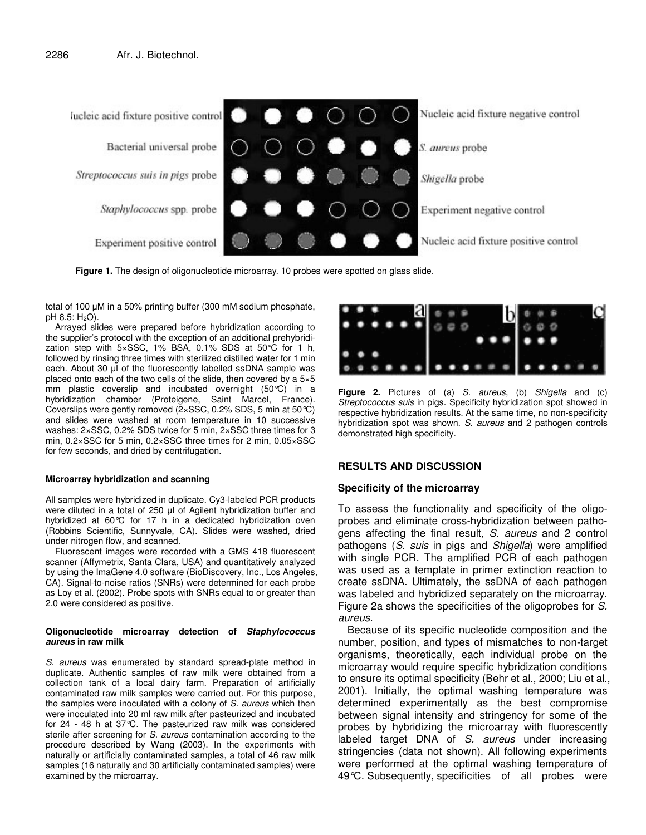

**Figure 1.** The design of oligonucleotide microarray. 10 probes were spotted on glass slide.

total of 100  $\mu$ M in a 50% printing buffer (300 mM sodium phosphate,  $pH$  8.5:  $H_2O$ ).

Arrayed slides were prepared before hybridization according to the supplier's protocol with the exception of an additional prehybridization step with 5×SSC, 1% BSA, 0.1% SDS at 50°C for 1 h, followed by rinsing three times with sterilized distilled water for 1 min each. About 30 µl of the fluorescently labelled ssDNA sample was placed onto each of the two cells of the slide, then covered by a 5×5 mm plastic coverslip and incubated overnight (50°C) in a hybridization chamber (Proteigene, Saint Marcel, France). Coverslips were gently removed (2×SSC, 0.2% SDS, 5 min at 50°C) and slides were washed at room temperature in 10 successive washes: 2×SSC, 0.2% SDS twice for 5 min, 2×SSC three times for 3 min, 0.2×SSC for 5 min, 0.2×SSC three times for 2 min, 0.05×SSC for few seconds, and dried by centrifugation.

#### **Microarray hybridization and scanning**

All samples were hybridized in duplicate. Cy3-labeled PCR products were diluted in a total of 250 µl of Agilent hybridization buffer and hybridized at 60°C for 17 h in a dedicated hybridization oven (Robbins Scientific, Sunnyvale, CA). Slides were washed, dried under nitrogen flow, and scanned.

Fluorescent images were recorded with a GMS 418 fluorescent scanner (Affymetrix, Santa Clara, USA) and quantitatively analyzed by using the ImaGene 4.0 software (BioDiscovery, Inc., Los Angeles, CA). Signal-to-noise ratios (SNRs) were determined for each probe as Loy et al. (2002). Probe spots with SNRs equal to or greater than 2.0 were considered as positive.

#### **Oligonucleotide microarray detection of** *Staphylococcus aureus* **in raw milk**

*S. aureus* was enumerated by standard spread-plate method in duplicate. Authentic samples of raw milk were obtained from a collection tank of a local dairy farm. Preparation of artificially contaminated raw milk samples were carried out. For this purpose, the samples were inoculated with a colony of *S. aureus* which then were inoculated into 20 ml raw milk after pasteurized and incubated for 24 - 48 h at 37°C. The pasteurized raw milk was considered sterile after screening for *S. aureus* contamination according to the procedure described by Wang (2003). In the experiments with naturally or artificially contaminated samples, a total of 46 raw milk samples (16 naturally and 30 artificially contaminated samples) were examined by the microarray.



**Figure 2.** Pictures of (a) *S. aureus*, (b) *Shigella* and (c) *Streptococcus suis* in pigs. Specificity hybridization spot showed in respective hybridization results. At the same time, no non-specificity hybridization spot was shown. *S. aureus* and 2 pathogen controls demonstrated high specificity.

## **RESULTS AND DISCUSSION**

## **Specificity of the microarray**

To assess the functionality and specificity of the oligoprobes and eliminate cross-hybridization between pathogens affecting the final result, *S. aureus* and 2 control pathogens (*S. suis* in pigs and *Shigella*) were amplified with single PCR. The amplified PCR of each pathogen was used as a template in primer extinction reaction to create ssDNA. Ultimately, the ssDNA of each pathogen was labeled and hybridized separately on the microarray. Figure 2a shows the specificities of the oligoprobes for *S. aureus*.

Because of its specific nucleotide composition and the number, position, and types of mismatches to non-target organisms, theoretically, each individual probe on the microarray would require specific hybridization conditions to ensure its optimal specificity (Behr et al., 2000; Liu et al., 2001). Initially, the optimal washing temperature was determined experimentally as the best compromise between signal intensity and stringency for some of the probes by hybridizing the microarray with fluorescently labeled target DNA of *S. aureus* under increasing stringencies (data not shown). All following experiments were performed at the optimal washing temperature of 49°C. Subsequently, specificities of all probes were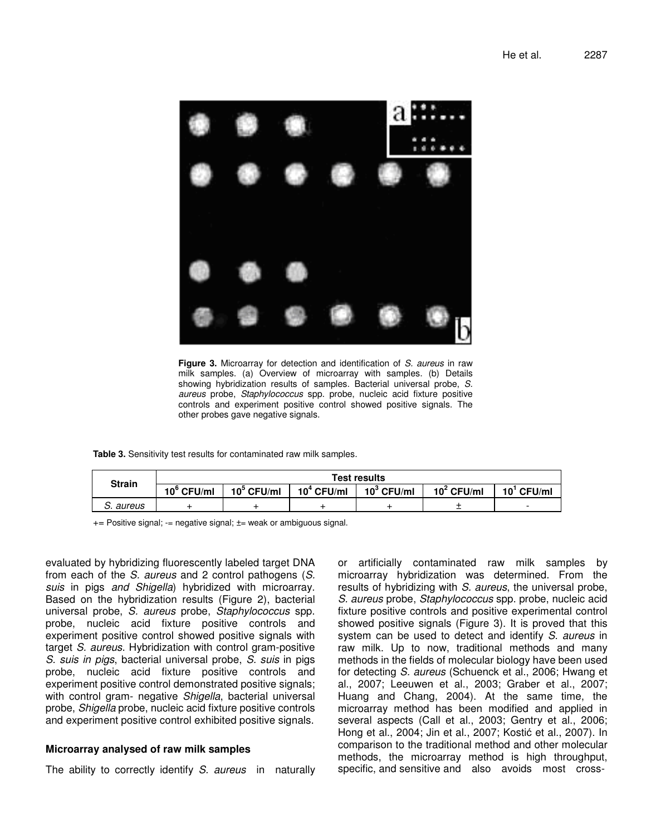

**Figure 3.** Microarray for detection and identification of *S. aureus* in raw milk samples. (a) Overview of microarray with samples. (b) Details showing hybridization results of samples. Bacterial universal probe, *S. aureus* probe, *Staphylococcus* spp. probe, nucleic acid fixture positive controls and experiment positive control showed positive signals. The other probes gave negative signals.

**Table 3.** Sensitivity test results for contaminated raw milk samples.

| <b>Strain</b> | <b>Test results</b> |               |               |                |               |               |
|---------------|---------------------|---------------|---------------|----------------|---------------|---------------|
|               | $10^{\circ}$ CFU/ml | $10^5$ CFU/ml | $10^4$ CFU/ml | 10 $^3$ CFU/ml | $10^2$ CFU/ml | $10^1$ CFU/ml |
| aureus        |                     |               |               |                |               | -             |

+= Positive signal; -= negative signal; ±= weak or ambiguous signal.

evaluated by hybridizing fluorescently labeled target DNA from each of the *S. aureus* and 2 control pathogens (*S. suis* in pigs *and Shigella*) hybridized with microarray. Based on the hybridization results (Figure 2), bacterial universal probe, *S. aureus* probe, *Staphylococcus* spp. probe, nucleic acid fixture positive controls and experiment positive control showed positive signals with target *S. aureus*. Hybridization with control gram-positive *S. suis in pigs*, bacterial universal probe, *S. suis* in pigs probe, nucleic acid fixture positive controls and experiment positive control demonstrated positive signals; with control gram- negative *Shigella*, bacterial universal probe, *Shigella* probe, nucleic acid fixture positive controls and experiment positive control exhibited positive signals.

## **Microarray analysed of raw milk samples**

The ability to correctly identify *S. aureus* in naturally

or artificially contaminated raw milk samples by microarray hybridization was determined. From the results of hybridizing with *S. aureus*, the universal probe, *S. aureus* probe, *Staphylococcus* spp. probe, nucleic acid fixture positive controls and positive experimental control showed positive signals (Figure 3). It is proved that this system can be used to detect and identify *S. aureus* in raw milk. Up to now, traditional methods and many methods in the fields of molecular biology have been used for detecting *S. aureus* (Schuenck et al., 2006; Hwang et al., 2007; Leeuwen et al., 2003; Graber et al., 2007; Huang and Chang, 2004). At the same time, the microarray method has been modified and applied in several aspects (Call et al., 2003; Gentry et al., 2006; Hong et al., 2004; Jin et al., 2007; Kostić et al., 2007). In comparison to the traditional method and other molecular methods, the microarray method is high throughput, specific, and sensitive and also avoids most cross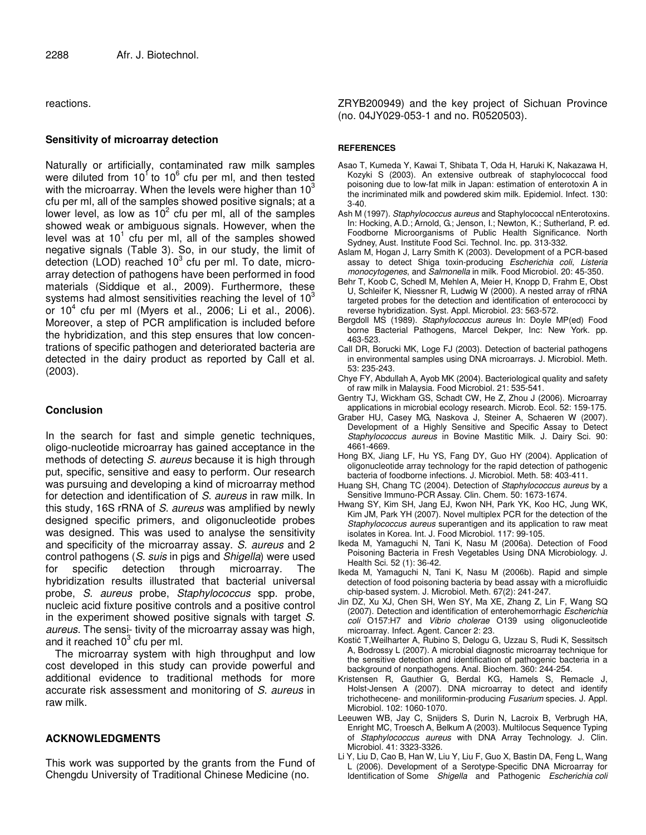reactions.

## **Sensitivity of microarray detection**

Naturally or artificially, contaminated raw milk samples were diluted from 10<sup>1</sup> to 10<sup>6</sup> cfu per ml, and then tested with the microarray. When the levels were higher than 10 $^3$ cfu per ml, all of the samples showed positive signals; at a lower level, as low as  $10^2$  cfu per ml, all of the samples showed weak or ambiguous signals. However, when the level was at  $10^1$  cfu per ml, all of the samples showed negative signals (Table 3). So, in our study, the limit of detection (LOD) reached  $10^3$  cfu per ml. To date, microarray detection of pathogens have been performed in food materials (Siddique et al., 2009). Furthermore, these systems had almost sensitivities reaching the level of 10 $^3$ or 10 4 cfu per ml (Myers et al., 2006; Li et al., 2006). Moreover, a step of PCR amplification is included before the hybridization, and this step ensures that low concentrations of specific pathogen and deteriorated bacteria are detected in the dairy product as reported by Call et al. (2003).

## **Conclusion**

In the search for fast and simple genetic techniques, oligo-nucleotide microarray has gained acceptance in the methods of detecting *S. aureus* because it is high through put, specific, sensitive and easy to perform. Our research was pursuing and developing a kind of microarray method for detection and identification of *S. aureus* in raw milk. In this study, 16S rRNA of *S. aureus* was amplified by newly designed specific primers, and oligonucleotide probes was designed. This was used to analyse the sensitivity and specificity of the microarray assay. *S. aureus* and 2 control pathogens (*S. suis* in pigs and *Shigella*) were used for specific detection through microarray. The hybridization results illustrated that bacterial universal probe, *S. aureus* probe, *Staphylococcus* spp. probe, nucleic acid fixture positive controls and a positive control in the experiment showed positive signals with target *S. aureus*. The sensi- tivity of the microarray assay was high, and it reached  $10^3$  cfu per ml.

The microarray system with high throughput and low cost developed in this study can provide powerful and additional evidence to traditional methods for more accurate risk assessment and monitoring of *S. aureus* in raw milk.

## **ACKNOWLEDGMENTS**

This work was supported by the grants from the Fund of Chengdu University of Traditional Chinese Medicine (no.

ZRYB200949) and the key project of Sichuan Province (no. 04JY029-053-1 and no. R0520503).

#### **REFERENCES**

- Asao T, Kumeda Y, Kawai T, Shibata T, Oda H, Haruki K, Nakazawa H, Kozyki S (2003). An extensive outbreak of staphylococcal food poisoning due to low-fat milk in Japan: estimation of enterotoxin A in the incriminated milk and powdered skim milk. Epidemiol. Infect. 130: 3-40.
- Ash M (1997). *Staphylococcus aureus* and Staphylococcal nEnterotoxins. In: Hocking, A.D.; Arnold, G.; Jenson, I.; Newton, K.; Sutherland, P. ed. Foodborne Microorganisms of Public Health Significance. North Sydney, Aust. Institute Food Sci. Technol. Inc. pp. 313-332.
- Aslam M, Hogan J, Larry Smith K (2003). Development of a PCR-based assay to detect Shiga toxin-producing *Escherichia coli*, *Listeria monocytogenes*, and *Salmonella* in milk. Food Microbiol. 20: 45-350.
- Behr T, Koob C, Schedl M, Mehlen A, Meier H, Knopp D, Frahm E, Obst U, Schleifer K, Niessner R, Ludwig W (2000). A nested array of rRNA targeted probes for the detection and identification of enterococci by reverse hybridization. Syst. Appl. Microbiol. 23: 563-572.
- Bergdoll MS (1989). *Staphylococcus aureus* In: Doyle MP(ed) Food borne Bacterial Pathogens, Marcel Dekper, Inc: New York. pp. 463-523.
- Call DR, Borucki MK, Loge FJ (2003). Detection of bacterial pathogens in environmental samples using DNA microarrays. J. Microbiol. Meth. 53: 235-243.
- Chye FY, Abdullah A, Ayob MK (2004). Bacteriological quality and safety of raw milk in Malaysia. Food Microbiol. 21: 535-541.
- Gentry TJ, Wickham GS, Schadt CW, He Z, Zhou J (2006). Microarray applications in microbial ecology research. Microb. Ecol. 52: 159-175.
- Graber HU, Casey MG, Naskova J, Steiner A, Schaeren W (2007). Development of a Highly Sensitive and Specific Assay to Detect *Staphylococcus aureus* in Bovine Mastitic Milk. J. Dairy Sci. 90: 4661-4669.
- Hong BX, Jiang LF, Hu YS, Fang DY, Guo HY (2004). Application of oligonucleotide array technology for the rapid detection of pathogenic bacteria of foodborne infections. J. Microbiol. Meth. 58: 403-411.
- Huang SH, Chang TC (2004). Detection of *Staphylococcus aureus* by a Sensitive Immuno-PCR Assay. Clin. Chem. 50: 1673-1674.
- Hwang SY, Kim SH, Jang EJ, Kwon NH, Park YK, Koo HC, Jung WK, Kim JM, Park YH (2007). Novel multiplex PCR for the detection of the *Staphylococcus aureus* superantigen and its application to raw meat isolates in Korea. Int. J. Food Microbiol. 117: 99-105.
- Ikeda M, Yamaguchi N, Tani K, Nasu M (2006a). Detection of Food Poisoning Bacteria in Fresh Vegetables Using DNA Microbiology. J. Health Sci. 52 (1): 36-42.
- Ikeda M, Yamaguchi N, Tani K, Nasu M (2006b). Rapid and simple detection of food poisoning bacteria by bead assay with a microfluidic chip-based system. J. Microbiol. Meth. 67(2): 241-247.
- Jin DZ, Xu XJ, Chen SH, Wen SY, Ma XE, Zhang Z, Lin F, Wang SQ (2007). Detection and identification of enterohemorrhagic *Escherichia coli* O157:H7 and *Vibrio cholerae* O139 using oligonucleotide microarray. Infect. Agent. Cancer 2: 23.
- Kostić T,Weilharter A, Rubino S, Delogu G, Uzzau S, Rudi K, Sessitsch A, Bodrossy L (2007). A microbial diagnostic microarray technique for the sensitive detection and identification of pathogenic bacteria in a background of nonpathogens. Anal. Biochem. 360: 244-254.
- Kristensen R, Gauthier G, Berdal KG, Hamels S, Remacle J, Holst-Jensen A (2007). DNA microarray to detect and identify trichothecene- and moniliformin-producing *Fusarium* species. J. Appl. Microbiol. 102: 1060-1070.
- Leeuwen WB, Jay C, Snijders S, Durin N, Lacroix B, Verbrugh HA, Enright MC, Troesch A, Belkum A (2003). Multilocus Sequence Typing of *Staphylococcus aureus* with DNA Array Technology. J. Clin. Microbiol. 41: 3323-3326.
- Li Y, Liu D, Cao B, Han W, Liu Y, Liu F, Guo X, Bastin DA, Feng L, Wang L (2006). Development of a Serotype-Specific DNA Microarray for Identification of Some *Shigella* and Pathogenic *Escherichia coli*